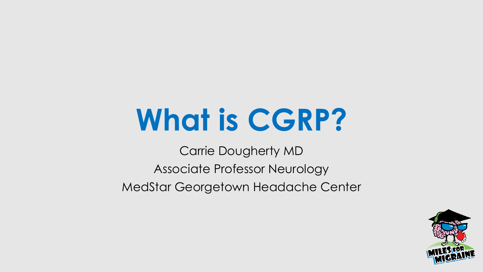# **What is CGRP?**

Carrie Dougherty MD Associate Professor Neurology MedStar Georgetown Headache Center

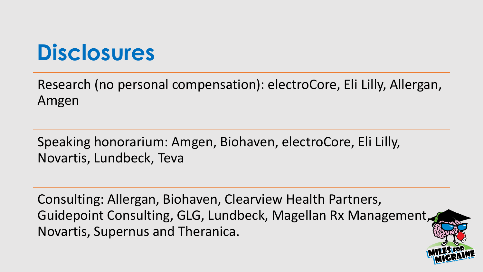#### **Disclosures**

Research (no personal compensation): electroCore, Eli Lilly, Allergan, Amgen

Speaking honorarium: Amgen, Biohaven, electroCore, Eli Lilly, Novartis, Lundbeck, Teva

Consulting: Allergan, Biohaven, Clearview Health Partners, Guidepoint Consulting, GLG, Lundbeck, Magellan Rx Management, Novartis, Supernus and Theranica.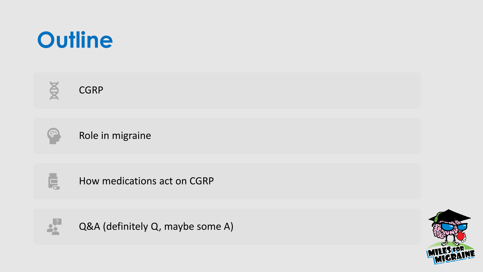

CGRP

Role in migraine



**NOX** 

How medications act on CGRP



Q&A (definitely Q, maybe some A)

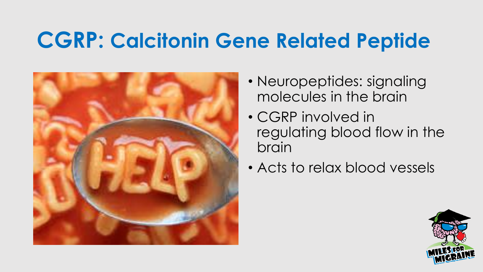#### **CGRP: Calcitonin Gene Related Peptide**



- Neuropeptides: signaling molecules in the brain
- CGRP involved in regulating blood flow in the brain
- Acts to relax blood vessels

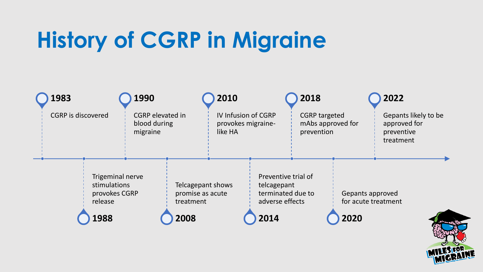## **History of CGRP in Migraine**



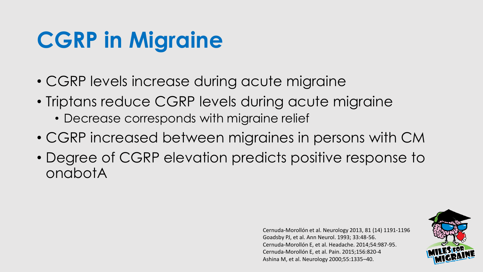### **CGRP in Migraine**

- CGRP levels increase during acute migraine
- Triptans reduce CGRP levels during acute migraine
	- Decrease corresponds with migraine relief
- CGRP increased between migraines in persons with CM
- Degree of CGRP elevation predicts positive response to onabotA

Cernuda-Morollón et al. Neurology 2013, 81 (14) 1191-1196 Goadsby PJ, et al. Ann Neurol. 1993; 33:48-56. Cernuda-Morollón E, et al. Headache. 2014;54:987-95. Cernuda-Morollón E, et al. Pain. 2015;156:820-4 Ashina M, et al. Neurology 2000;55:1335–40.

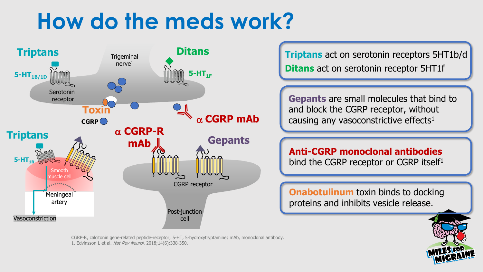#### **How do the meds work?**



**Ditans** act on serotonin receptor 5HT1f

**Gepants** are small molecules that bind to and block the CGRP receptor, without causing any vasoconstrictive effects $1$ 

**Anti-CGRP monoclonal antibodies**  bind the CGRP receptor or CGRP itself<sup>1</sup>

**Onabotulinum** toxin binds to docking proteins and inhibits vesicle release.

CGRP-R, calcitonin gene-related peptide-receptor; 5-HT, 5-hydroxytryptamine; mAb, monoclonal antibody. 1. Edvinsson L et al. Nat Rev Neurol. 2018;14(6):338-350.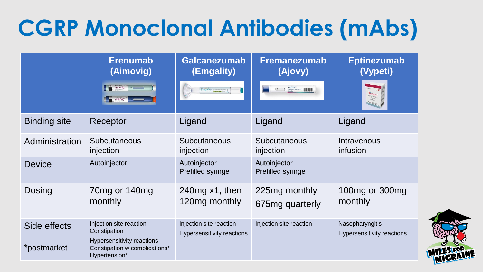# **CGRP Monoclonal Antibodies (mAbs)**

|                             | <b>Erenumab</b><br>(Aimovig)                                                                                                   | <b>Galcanezumab</b><br>(Emgality)                            | <b>Fremanezumab</b><br>(Ajovy)                                                                                                                                                                                                                                                                                                                                                                                                                                                       | <b>Eptinezumab</b><br>(Vypeti)                |
|-----------------------------|--------------------------------------------------------------------------------------------------------------------------------|--------------------------------------------------------------|--------------------------------------------------------------------------------------------------------------------------------------------------------------------------------------------------------------------------------------------------------------------------------------------------------------------------------------------------------------------------------------------------------------------------------------------------------------------------------------|-----------------------------------------------|
|                             | aimovig<br>aimovig                                                                                                             | Emgality (atanamabath)                                       | $\overbrace{\text{from} \text{an} \text{ex} \text{ar} \text{an} \text{ar} \text{an} \text{ar} \text{an} \text{ar} \text{an} \text{ar} \text{an} \text{ar} \text{an} \text{ar} \text{an} \text{ar} \text{an} \text{ar} \text{an} \text{ar} \text{an} \text{ar} \text{an} \text{ar} \text{an} \text{ar} \text{an} \text{ar} \text{an} \text{ar} \text{an} \text{ar} \text{an} \text{ar} \text{an} \text{ar} \text{an} \text{ar} \text{an} \text{ar} \text{an} \text$<br>$\overline{a}$ |                                               |
| <b>Binding site</b>         | Receptor                                                                                                                       | Ligand                                                       | Ligand                                                                                                                                                                                                                                                                                                                                                                                                                                                                               | Ligand                                        |
| Administration              | <b>Subcutaneous</b><br>injection                                                                                               | <b>Subcutaneous</b><br>injection                             | Subcutaneous<br>injection                                                                                                                                                                                                                                                                                                                                                                                                                                                            | Intravenous<br>infusion                       |
| <b>Device</b>               | Autoinjector                                                                                                                   | Autoinjector<br>Prefilled syringe                            | Autoinjector<br>Prefilled syringe                                                                                                                                                                                                                                                                                                                                                                                                                                                    |                                               |
| <b>Dosing</b>               | 70mg or 140mg<br>monthly                                                                                                       | 240mg x1, then<br>120mg monthly                              | 225mg monthly<br>675mg quarterly                                                                                                                                                                                                                                                                                                                                                                                                                                                     | 100mg or 300mg<br>monthly                     |
| Side effects<br>*postmarket | Injection site reaction<br>Constipation<br><b>Hypersensitivity reactions</b><br>Constipation w complications*<br>Hypertension* | Injection site reaction<br><b>Hypersensitivity reactions</b> | Injection site reaction                                                                                                                                                                                                                                                                                                                                                                                                                                                              | Nasopharyngitis<br>Hypersensitivity reactions |

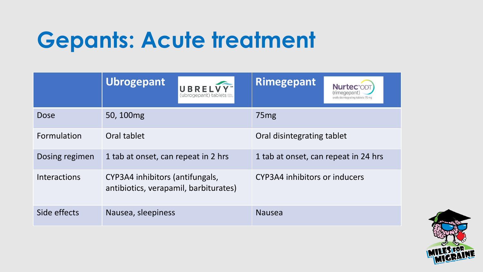### **Gepants: Acute treatment**

|                     | <b>Ubrogepant</b><br><b>UBRELVY</b><br>(ubrogepant) tablets              | <b>Rimegepant</b><br><b>Nurtec</b> "ODT<br>(rimegepant<br>orally disintegrating tablets 75 mg |  |
|---------------------|--------------------------------------------------------------------------|-----------------------------------------------------------------------------------------------|--|
| <b>Dose</b>         | 50, 100mg                                                                | 75 <sub>mg</sub>                                                                              |  |
| Formulation         | Oral tablet                                                              | Oral disintegrating tablet                                                                    |  |
| Dosing regimen      | 1 tab at onset, can repeat in 2 hrs                                      | 1 tab at onset, can repeat in 24 hrs                                                          |  |
| <b>Interactions</b> | CYP3A4 inhibitors (antifungals,<br>antibiotics, verapamil, barbiturates) | CYP3A4 inhibitors or inducers                                                                 |  |
| Side effects        | Nausea, sleepiness                                                       | <b>Nausea</b>                                                                                 |  |

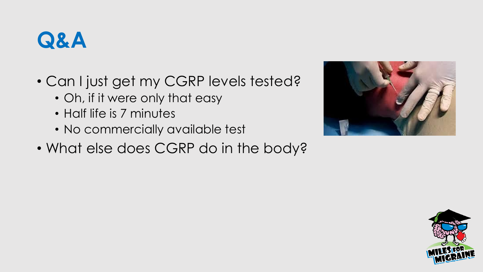

- Can I just get my CGRP levels tested?
	- Oh, if it were only that easy
	- Half life is 7 minutes
	- No commercially available test
- What else does CGRP do in the body?



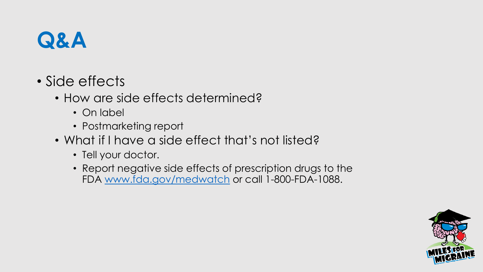

- Side effects
	- How are side effects determined?
		- On label
		- Postmarketing report
	- What if I have a side effect that's not listed?
		- Tell your doctor.
		- Report negative side effects of prescription drugs to the FDA [www.fda.gov/medwatch](http://www.fda.gov/medwatch) or call 1-800-FDA-1088.

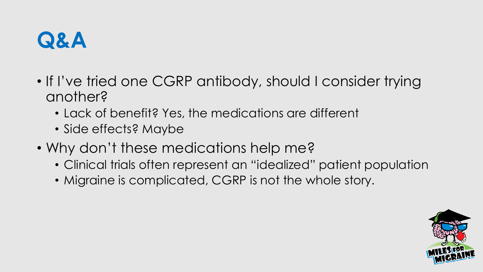

- If I've tried one CGRP antibody, should I consider trying another?
	- Lack of benefit? Yes, the medications are different
	- Side effects? Maybe
- Why don't these medications help me?
	- Clinical trials often represent an "idealized" patient population
	- Migraine is complicated, CGRP is not the whole story.

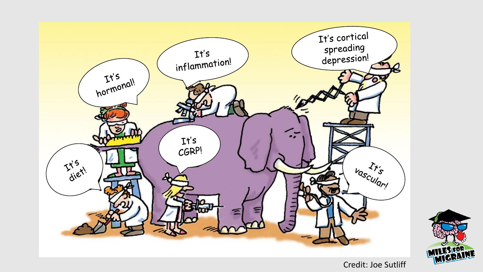



Credit: Joe Sutliff